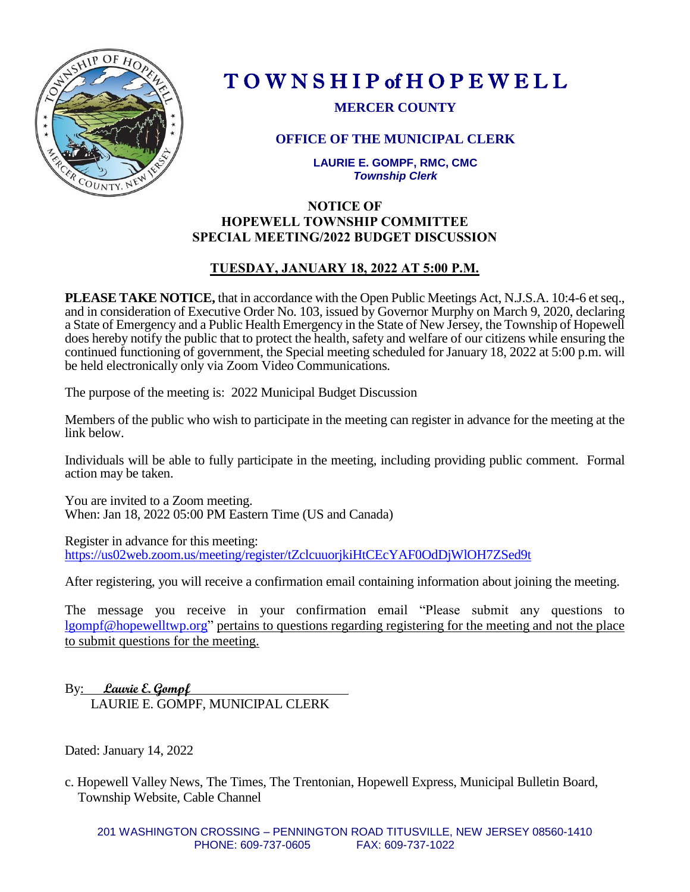

# T O W N S H I P of H O P E W E L L

**MERCER COUNTY**

# **OFFICE OF THE MUNICIPAL CLERK**

**LAURIE E. GOMPF, RMC, CMC** *Township Clerk*

## **NOTICE OF HOPEWELL TOWNSHIP COMMITTEE SPECIAL MEETING/2022 BUDGET DISCUSSION**

# **TUESDAY, JANUARY 18, 2022 AT 5:00 P.M.**

**PLEASE TAKE NOTICE,** that in accordance with the Open Public Meetings Act, N.J.S.A. 10:4-6 et seq., and in consideration of Executive Order No. 103, issued by Governor Murphy on March 9, 2020, declaring a State of Emergency and a Public Health Emergency in the State of New Jersey, the Township of Hopewell does hereby notify the public that to protect the health, safety and welfare of our citizens while ensuring the continued functioning of government, the Special meeting scheduled for January 18, 2022 at 5:00 p.m. will be held electronically only via Zoom Video Communications.

The purpose of the meeting is: 2022 Municipal Budget Discussion

Members of the public who wish to participate in the meeting can register in advance for the meeting at the link below.

Individuals will be able to fully participate in the meeting, including providing public comment. Formal action may be taken.

You are invited to a Zoom meeting. When: Jan 18, 2022 05:00 PM Eastern Time (US and Canada)

Register in advance for this meeting: <https://us02web.zoom.us/meeting/register/tZclcuuorjkiHtCEcYAF0OdDjWlOH7ZSed9t>

After registering, you will receive a confirmation email containing information about joining the meeting.

The message you receive in your confirmation email "Please submit any questions to [lgompf@hopewelltwp.org"](mailto:lgompf@hopewelltwp.org) pertains to questions regarding registering for the meeting and not the place to submit questions for the meeting.

By: **Laurie E. Gompf**  LAURIE E. GOMPF, MUNICIPAL CLERK

Dated: January 14, 2022

c. Hopewell Valley News, The Times, The Trentonian, Hopewell Express, Municipal Bulletin Board, Township Website, Cable Channel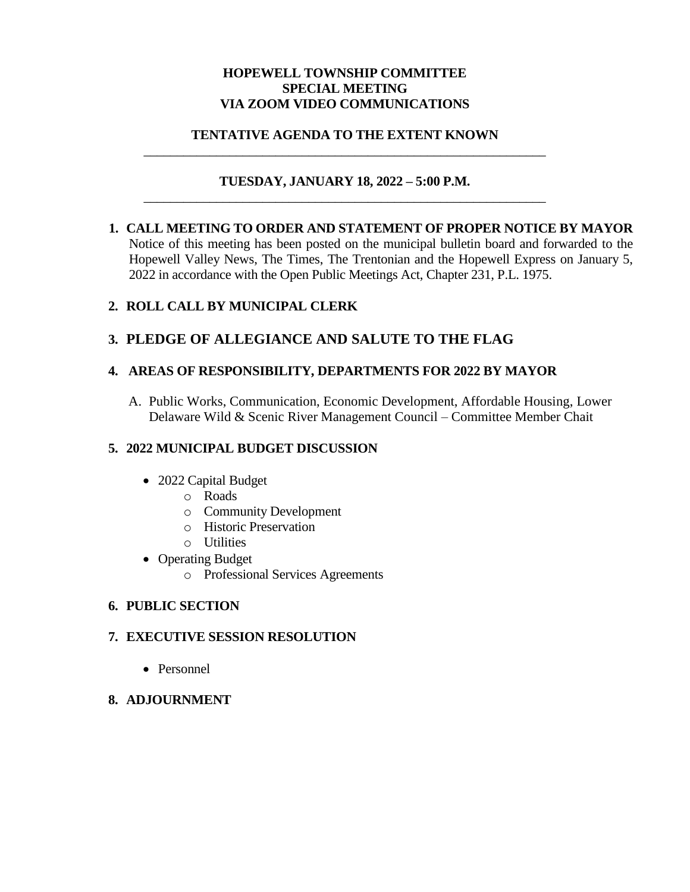#### **HOPEWELL TOWNSHIP COMMITTEE SPECIAL MEETING VIA ZOOM VIDEO COMMUNICATIONS**

#### **TENTATIVE AGENDA TO THE EXTENT KNOWN** \_\_\_\_\_\_\_\_\_\_\_\_\_\_\_\_\_\_\_\_\_\_\_\_\_\_\_\_\_\_\_\_\_\_\_\_\_\_\_\_\_\_\_\_\_\_\_\_\_\_\_\_\_\_\_\_\_\_\_\_\_

#### **TUESDAY, JANUARY 18, 2022 – 5:00 P.M.** \_\_\_\_\_\_\_\_\_\_\_\_\_\_\_\_\_\_\_\_\_\_\_\_\_\_\_\_\_\_\_\_\_\_\_\_\_\_\_\_\_\_\_\_\_\_\_\_\_\_\_\_\_\_\_\_\_\_\_\_\_

**1. CALL MEETING TO ORDER AND STATEMENT OF PROPER NOTICE BY MAYOR**  Notice of this meeting has been posted on the municipal bulletin board and forwarded to the Hopewell Valley News, The Times, The Trentonian and the Hopewell Express on January 5, 2022 in accordance with the Open Public Meetings Act, Chapter 231, P.L. 1975.

## **2. ROLL CALL BY MUNICIPAL CLERK**

# **3. PLEDGE OF ALLEGIANCE AND SALUTE TO THE FLAG**

## **4. AREAS OF RESPONSIBILITY, DEPARTMENTS FOR 2022 BY MAYOR**

A. Public Works, Communication, Economic Development, Affordable Housing, Lower Delaware Wild & Scenic River Management Council – Committee Member Chait

## **5. 2022 MUNICIPAL BUDGET DISCUSSION**

- 2022 Capital Budget
	- o Roads
	- o Community Development
	- o Historic Preservation
	- o Utilities
- Operating Budget
	- o Professional Services Agreements

## **6. PUBLIC SECTION**

## **7. EXECUTIVE SESSION RESOLUTION**

• Personnel

#### **8. ADJOURNMENT**